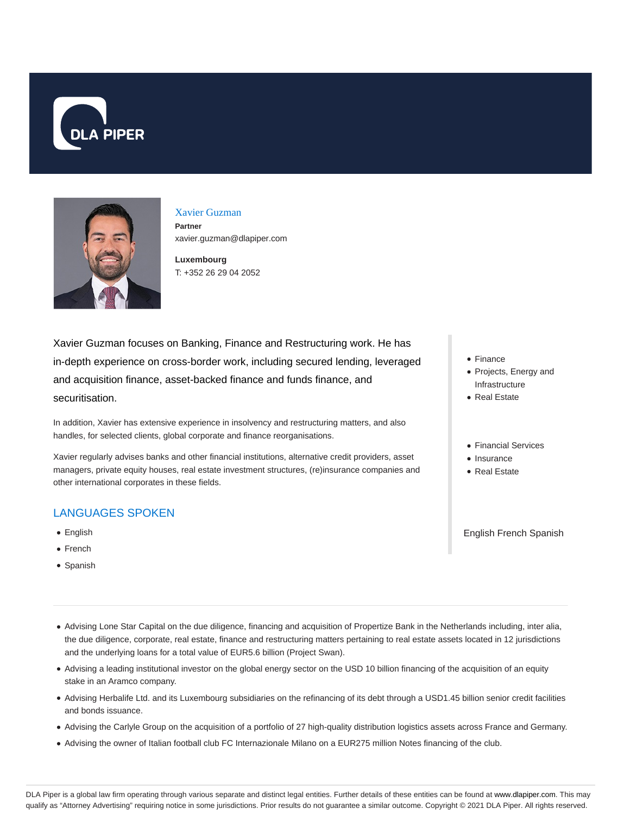



### Xavier Guzman

**Partner** xavier.guzman@dlapiper.com

**Luxembourg** T: +352 26 29 04 2052

Xavier Guzman focuses on Banking, Finance and Restructuring work. He has in-depth experience on cross-border work, including secured lending, leveraged and acquisition finance, asset-backed finance and funds finance, and securitisation.

In addition, Xavier has extensive experience in insolvency and restructuring matters, and also handles, for selected clients, global corporate and finance reorganisations.

Xavier regularly advises banks and other financial institutions, alternative credit providers, asset managers, private equity houses, real estate investment structures, (re)insurance companies and other international corporates in these fields.

### LANGUAGES SPOKEN

- English
- French
- Spanish
- Finance
- Projects, Energy and Infrastructure
- Real Estate
- Financial Services
- Insurance
- Real Estate

English French Spanish

- Advising Lone Star Capital on the due diligence, financing and acquisition of Propertize Bank in the Netherlands including, inter alia, the due diligence, corporate, real estate, finance and restructuring matters pertaining to real estate assets located in 12 jurisdictions and the underlying loans for a total value of EUR5.6 billion (Project Swan).
- Advising a leading institutional investor on the global energy sector on the USD 10 billion financing of the acquisition of an equity stake in an Aramco company.
- Advising Herbalife Ltd. and its Luxembourg subsidiaries on the refinancing of its debt through a USD1.45 billion senior credit facilities and bonds issuance.
- Advising the Carlyle Group on the acquisition of a portfolio of 27 high-quality distribution logistics assets across France and Germany.
- Advising the owner of Italian football club FC Internazionale Milano on a EUR275 million Notes financing of the club.

DLA Piper is a global law firm operating through various separate and distinct legal entities. Further details of these entities can be found at www.dlapiper.com. This may qualify as "Attorney Advertising" requiring notice in some jurisdictions. Prior results do not guarantee a similar outcome. Copyright @ 2021 DLA Piper. All rights reserved.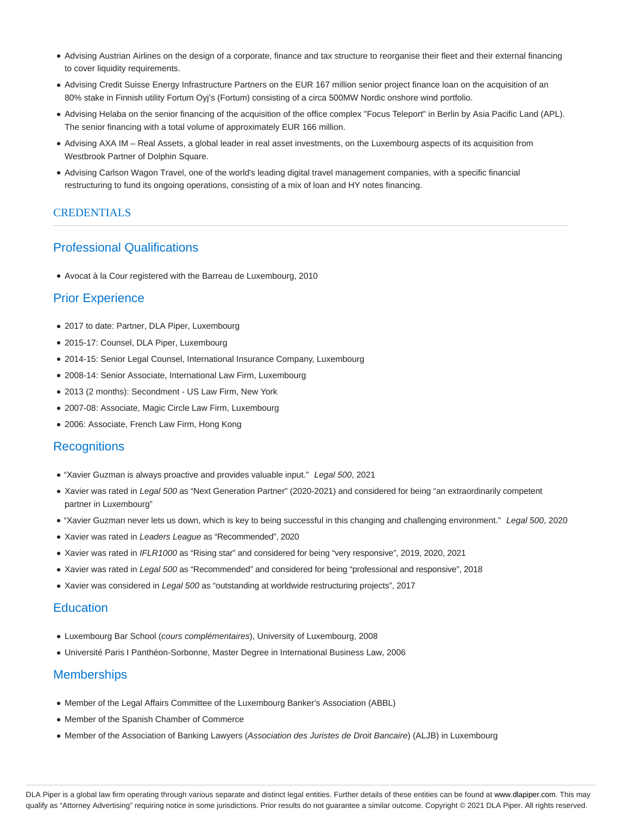- Advising Austrian Airlines on the design of a corporate, finance and tax structure to reorganise their fleet and their external financing to cover liquidity requirements.
- Advising Credit Suisse Energy Infrastructure Partners on the EUR 167 million senior project finance loan on the acquisition of an 80% stake in Finnish utility Fortum Oyj's (Fortum) consisting of a circa 500MW Nordic onshore wind portfolio.
- Advising Helaba on the senior financing of the acquisition of the office complex "Focus Teleport" in Berlin by Asia Pacific Land (APL). The senior financing with a total volume of approximately EUR 166 million.
- Advising AXA IM Real Assets, a global leader in real asset investments, on the Luxembourg aspects of its acquisition from Westbrook Partner of Dolphin Square.
- Advising Carlson Wagon Travel, one of the world's leading digital travel management companies, with a specific financial restructuring to fund its ongoing operations, consisting of a mix of loan and HY notes financing.

### CREDENTIALS

# Professional Qualifications

Avocat à la Cour registered with the Barreau de Luxembourg, 2010

## Prior Experience

- 2017 to date: Partner, DLA Piper, Luxembourg
- 2015-17: Counsel, DLA Piper, Luxembourg
- 2014-15: Senior Legal Counsel, International Insurance Company, Luxembourg
- 2008-14: Senior Associate, International Law Firm, Luxembourg
- 2013 (2 months): Secondment US Law Firm, New York
- 2007-08: Associate, Magic Circle Law Firm, Luxembourg
- 2006: Associate, French Law Firm, Hong Kong

### **Recognitions**

- "Xavier Guzman is always proactive and provides valuable input." Legal 500, 2021
- Xavier was rated in Legal 500 as "Next Generation Partner" (2020-2021) and considered for being "an extraordinarily competent partner in Luxembourg"
- . "Xavier Guzman never lets us down, which is key to being successful in this changing and challenging environment." Legal 500, 2020
- Xavier was rated in Leaders League as "Recommended", 2020
- Xavier was rated in IFLR1000 as "Rising star" and considered for being "very responsive", 2019, 2020, 2021
- Xavier was rated in Legal 500 as "Recommended" and considered for being "professional and responsive", 2018
- Xavier was considered in Legal 500 as "outstanding at worldwide restructuring projects", 2017

#### **Education**

- Luxembourg Bar School (cours complémentaires), University of Luxembourg, 2008
- Université Paris I Panthéon-Sorbonne, Master Degree in International Business Law, 2006

### **Memberships**

- Member of the Legal Affairs Committee of the Luxembourg Banker's Association (ABBL)
- Member of the Spanish Chamber of Commerce
- Member of the Association of Banking Lawyers (Association des Juristes de Droit Bancaire) (ALJB) in Luxembourg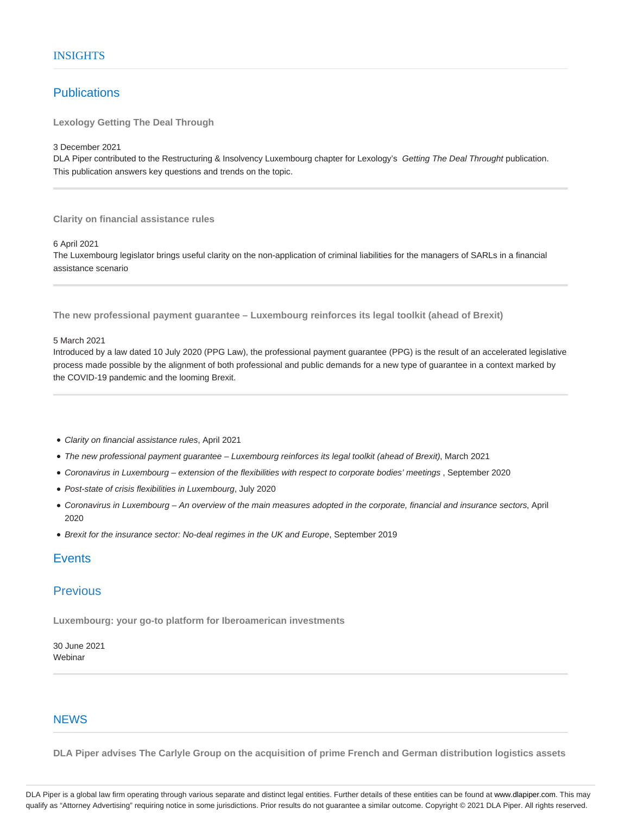# **Publications**

**Lexology Getting The Deal Through**

3 December 2021

DLA Piper contributed to the Restructuring & Insolvency Luxembourg chapter for Lexology's Getting The Deal Throught publication. This publication answers key questions and trends on the topic.

**Clarity on financial assistance rules**

6 April 2021

The Luxembourg legislator brings useful clarity on the non-application of criminal liabilities for the managers of SARLs in a financial assistance scenario

**The new professional payment guarantee – Luxembourg reinforces its legal toolkit (ahead of Brexit)**

#### 5 March 2021

Introduced by a law dated 10 July 2020 (PPG Law), the professional payment guarantee (PPG) is the result of an accelerated legislative process made possible by the alignment of both professional and public demands for a new type of guarantee in a context marked by the COVID-19 pandemic and the looming Brexit.

- Clarity on financial assistance rules, April 2021
- The new professional payment guarantee Luxembourg reinforces its legal toolkit (ahead of Brexit), March 2021
- Coronavirus in Luxembourg extension of the flexibilities with respect to corporate bodies' meetings , September 2020
- Post-state of crisis flexibilities in Luxembourg, July 2020
- Coronavirus in Luxembourg An overview of the main measures adopted in the corporate, financial and insurance sectors, April 2020
- Brexit for the insurance sector: No-deal regimes in the UK and Europe, September 2019

# **Events**

# **Previous**

**Luxembourg: your go-to platform for Iberoamerican investments**

30 June 2021 **Webinar** 

### **NEWS**

**DLA Piper advises The Carlyle Group on the acquisition of prime French and German distribution logistics assets**

DLA Piper is a global law firm operating through various separate and distinct legal entities. Further details of these entities can be found at www.dlapiper.com. This may qualify as "Attorney Advertising" requiring notice in some jurisdictions. Prior results do not guarantee a similar outcome. Copyright @ 2021 DLA Piper. All rights reserved.